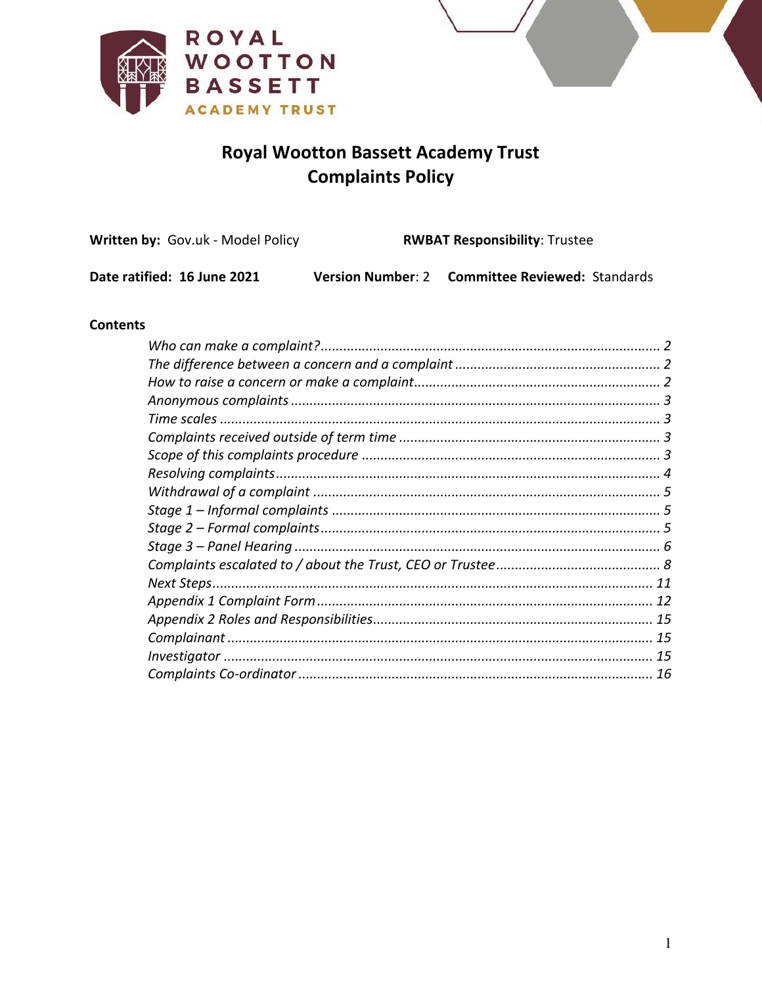



# **Royal Wootton Bassett Academy Trust Complaints Policy**

| <b>Written by: Gov.uk - Model Policy</b> | <b>RWBAT Responsibility: Trustee</b> |                                      |  |
|------------------------------------------|--------------------------------------|--------------------------------------|--|
| Date ratified: 16 June 2021              | <b>Version Number: 2</b>             | <b>Committee Reviewed: Standards</b> |  |

#### **Contents**

<span id="page-0-0"></span>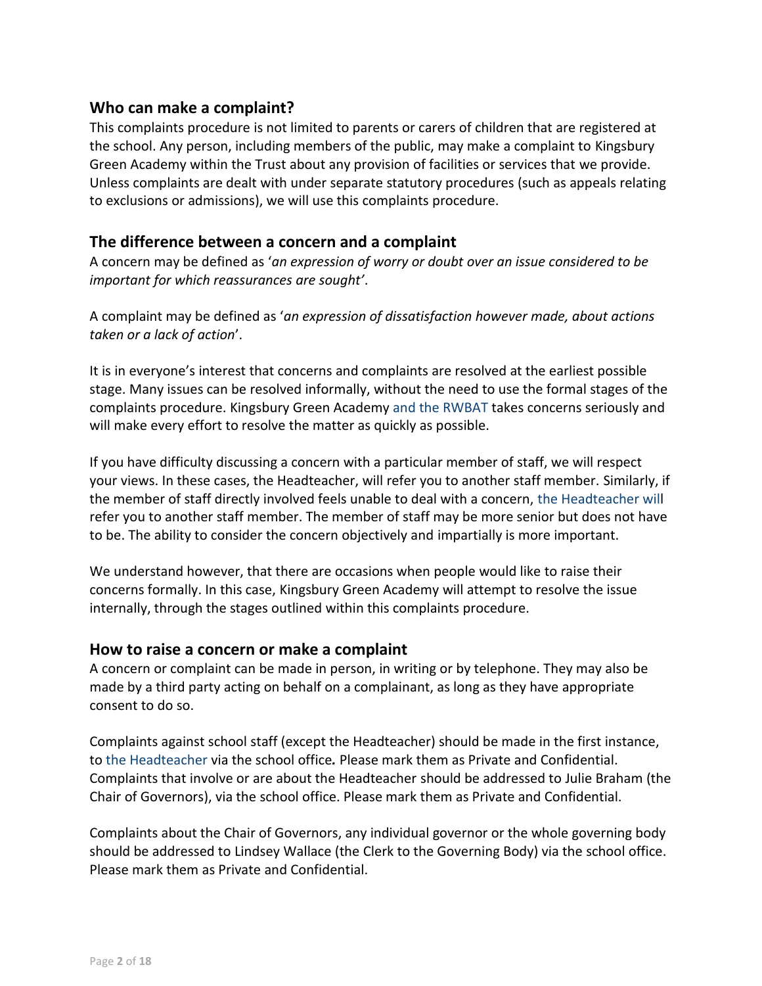## **Who can make a complaint?**

This complaints procedure is not limited to parents or carers of children that are registered at the school. Any person, including members of the public, may make a complaint to Kingsbury Green Academy within the Trust about any provision of facilities or services that we provide. Unless complaints are dealt with under separate statutory procedures (such as appeals relating to exclusions or admissions), we will use this complaints procedure.

#### <span id="page-1-0"></span>**The difference between a concern and a complaint**

A concern may be defined as '*an expression of worry or doubt over an issue considered to be important for which reassurances are sought'*.

A complaint may be defined as '*an expression of dissatisfaction however made, about actions taken or a lack of action*'.

It is in everyone's interest that concerns and complaints are resolved at the earliest possible stage. Many issues can be resolved informally, without the need to use the formal stages of the complaints procedure. Kingsbury Green Academy and the RWBAT takes concerns seriously and will make every effort to resolve the matter as quickly as possible.

If you have difficulty discussing a concern with a particular member of staff, we will respect your views. In these cases, the Headteacher, will refer you to another staff member. Similarly, if the member of staff directly involved feels unable to deal with a concern, the Headteacher will refer you to another staff member. The member of staff may be more senior but does not have to be. The ability to consider the concern objectively and impartially is more important.

We understand however, that there are occasions when people would like to raise their concerns formally. In this case, Kingsbury Green Academy will attempt to resolve the issue internally, through the stages outlined within this complaints procedure.

#### <span id="page-1-1"></span>**How to raise a concern or make a complaint**

A concern or complaint can be made in person, in writing or by telephone. They may also be made by a third party acting on behalf on a complainant, as long as they have appropriate consent to do so.

Complaints against school staff (except the Headteacher) should be made in the first instance, to the Headteacher via the school office*.* Please mark them as Private and Confidential. Complaints that involve or are about the Headteacher should be addressed to Julie Braham (the Chair of Governors), via the school office. Please mark them as Private and Confidential.

Complaints about the Chair of Governors, any individual governor or the whole governing body should be addressed to Lindsey Wallace (the Clerk to the Governing Body) via the school office. Please mark them as Private and Confidential.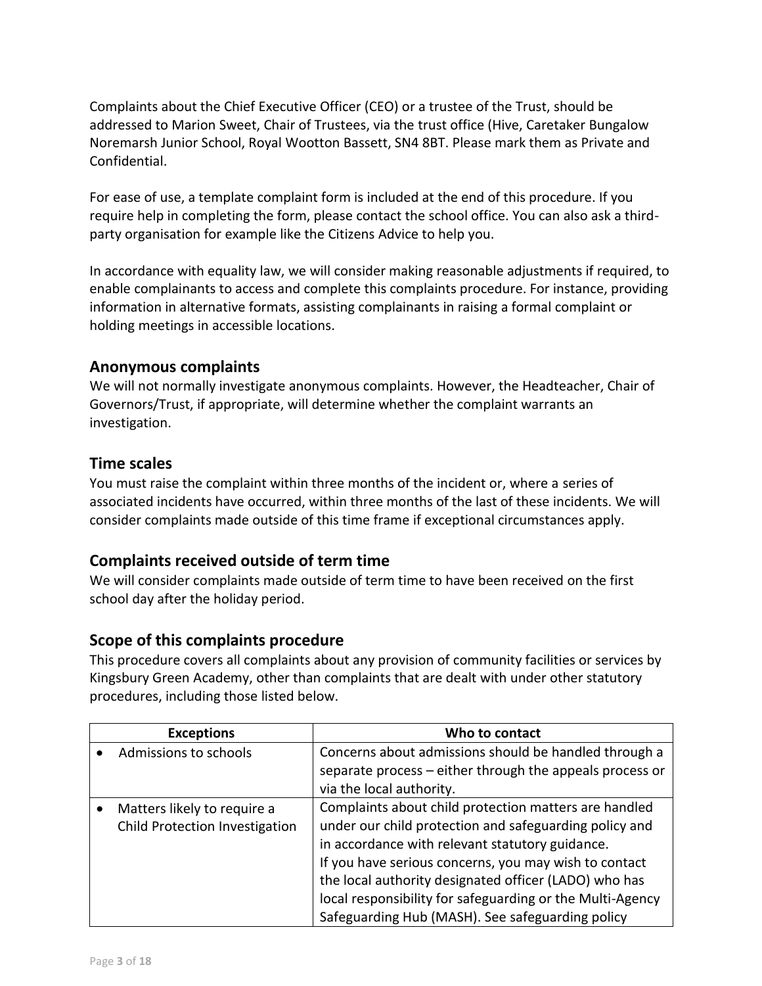Complaints about the Chief Executive Officer (CEO) or a trustee of the Trust, should be addressed to Marion Sweet, Chair of Trustees, via the trust office (Hive, Caretaker Bungalow Noremarsh Junior School, Royal Wootton Bassett, SN4 8BT. Please mark them as Private and Confidential.

For ease of use, a template complaint form is included at the end of this procedure. If you require help in completing the form, please contact the school office. You can also ask a thirdparty organisation for example like the Citizens Advice to help you.

In accordance with equality law, we will consider making reasonable adjustments if required, to enable complainants to access and complete this complaints procedure. For instance, providing information in alternative formats, assisting complainants in raising a formal complaint or holding meetings in accessible locations.

## <span id="page-2-0"></span>**Anonymous complaints**

We will not normally investigate anonymous complaints. However, the Headteacher, Chair of Governors/Trust, if appropriate, will determine whether the complaint warrants an investigation.

## <span id="page-2-1"></span>**Time scales**

You must raise the complaint within three months of the incident or, where a series of associated incidents have occurred, within three months of the last of these incidents. We will consider complaints made outside of this time frame if exceptional circumstances apply.

## <span id="page-2-2"></span>**Complaints received outside of term time**

We will consider complaints made outside of term time to have been received on the first school day after the holiday period.

## <span id="page-2-3"></span>**Scope of this complaints procedure**

This procedure covers all complaints about any provision of community facilities or services by Kingsbury Green Academy, other than complaints that are dealt with under other statutory procedures, including those listed below.

| <b>Exceptions</b>                                             | Who to contact                                                                                                                                                                                                              |
|---------------------------------------------------------------|-----------------------------------------------------------------------------------------------------------------------------------------------------------------------------------------------------------------------------|
| Admissions to schools                                         | Concerns about admissions should be handled through a                                                                                                                                                                       |
|                                                               | separate process - either through the appeals process or                                                                                                                                                                    |
|                                                               | via the local authority.                                                                                                                                                                                                    |
| Matters likely to require a<br>Child Protection Investigation | Complaints about child protection matters are handled<br>under our child protection and safeguarding policy and<br>in accordance with relevant statutory guidance.<br>If you have serious concerns, you may wish to contact |
|                                                               | the local authority designated officer (LADO) who has<br>local responsibility for safeguarding or the Multi-Agency<br>Safeguarding Hub (MASH). See safeguarding policy                                                      |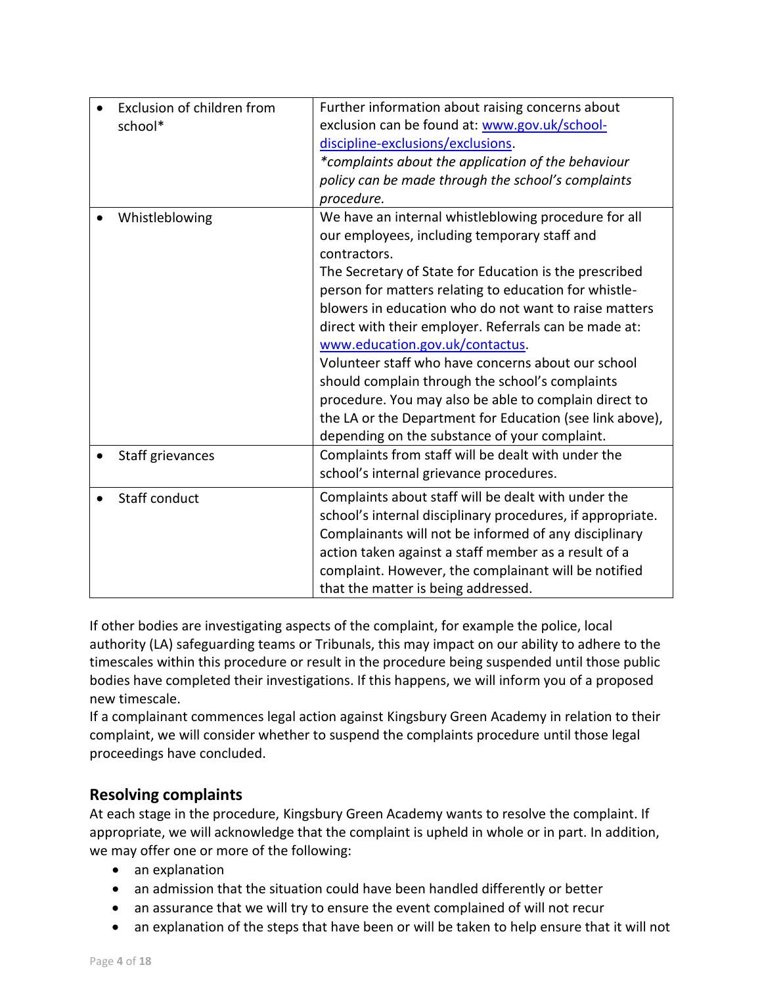| school*          | Exclusion of children from | Further information about raising concerns about<br>exclusion can be found at: www.gov.uk/school-<br>discipline-exclusions/exclusions.<br>*complaints about the application of the behaviour<br>policy can be made through the school's complaints<br>procedure.                                                                                                                                                                                                                                                                                                                                                                                                            |
|------------------|----------------------------|-----------------------------------------------------------------------------------------------------------------------------------------------------------------------------------------------------------------------------------------------------------------------------------------------------------------------------------------------------------------------------------------------------------------------------------------------------------------------------------------------------------------------------------------------------------------------------------------------------------------------------------------------------------------------------|
| Whistleblowing   |                            | We have an internal whistleblowing procedure for all<br>our employees, including temporary staff and<br>contractors.<br>The Secretary of State for Education is the prescribed<br>person for matters relating to education for whistle-<br>blowers in education who do not want to raise matters<br>direct with their employer. Referrals can be made at:<br>www.education.gov.uk/contactus.<br>Volunteer staff who have concerns about our school<br>should complain through the school's complaints<br>procedure. You may also be able to complain direct to<br>the LA or the Department for Education (see link above),<br>depending on the substance of your complaint. |
| Staff grievances |                            | Complaints from staff will be dealt with under the<br>school's internal grievance procedures.                                                                                                                                                                                                                                                                                                                                                                                                                                                                                                                                                                               |
| Staff conduct    |                            | Complaints about staff will be dealt with under the<br>school's internal disciplinary procedures, if appropriate.<br>Complainants will not be informed of any disciplinary<br>action taken against a staff member as a result of a<br>complaint. However, the complainant will be notified<br>that the matter is being addressed.                                                                                                                                                                                                                                                                                                                                           |

If other bodies are investigating aspects of the complaint, for example the police, local authority (LA) safeguarding teams or Tribunals, this may impact on our ability to adhere to the timescales within this procedure or result in the procedure being suspended until those public bodies have completed their investigations. If this happens, we will inform you of a proposed new timescale.

If a complainant commences legal action against Kingsbury Green Academy in relation to their complaint, we will consider whether to suspend the complaints procedure until those legal proceedings have concluded.

## <span id="page-3-0"></span>**Resolving complaints**

At each stage in the procedure, Kingsbury Green Academy wants to resolve the complaint. If appropriate, we will acknowledge that the complaint is upheld in whole or in part. In addition, we may offer one or more of the following:

- an explanation
- an admission that the situation could have been handled differently or better
- an assurance that we will try to ensure the event complained of will not recur
- an explanation of the steps that have been or will be taken to help ensure that it will not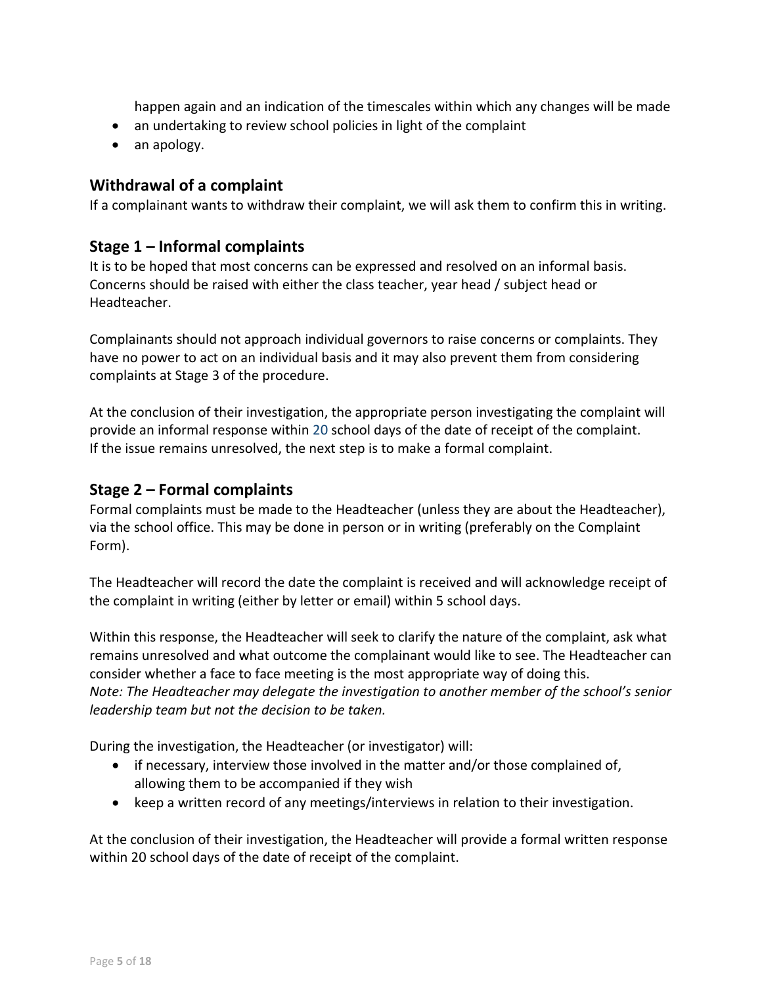happen again and an indication of the timescales within which any changes will be made

- an undertaking to review school policies in light of the complaint
- an apology.

## <span id="page-4-0"></span>**Withdrawal of a complaint**

If a complainant wants to withdraw their complaint, we will ask them to confirm this in writing.

### <span id="page-4-1"></span>**Stage 1 – Informal complaints**

It is to be hoped that most concerns can be expressed and resolved on an informal basis. Concerns should be raised with either the class teacher, year head / subject head or Headteacher.

Complainants should not approach individual governors to raise concerns or complaints. They have no power to act on an individual basis and it may also prevent them from considering complaints at Stage 3 of the procedure.

At the conclusion of their investigation, the appropriate person investigating the complaint will provide an informal response within 20 school days of the date of receipt of the complaint. If the issue remains unresolved, the next step is to make a formal complaint.

## <span id="page-4-2"></span>**Stage 2 – Formal complaints**

Formal complaints must be made to the Headteacher (unless they are about the Headteacher), via the school office. This may be done in person or in writing (preferably on the Complaint Form).

The Headteacher will record the date the complaint is received and will acknowledge receipt of the complaint in writing (either by letter or email) within 5 school days.

Within this response, the Headteacher will seek to clarify the nature of the complaint, ask what remains unresolved and what outcome the complainant would like to see. The Headteacher can consider whether a face to face meeting is the most appropriate way of doing this. *Note: The Headteacher may delegate the investigation to another member of the school's senior leadership team but not the decision to be taken.* 

During the investigation, the Headteacher (or investigator) will:

- if necessary, interview those involved in the matter and/or those complained of, allowing them to be accompanied if they wish
- keep a written record of any meetings/interviews in relation to their investigation.

At the conclusion of their investigation, the Headteacher will provide a formal written response within 20 school days of the date of receipt of the complaint.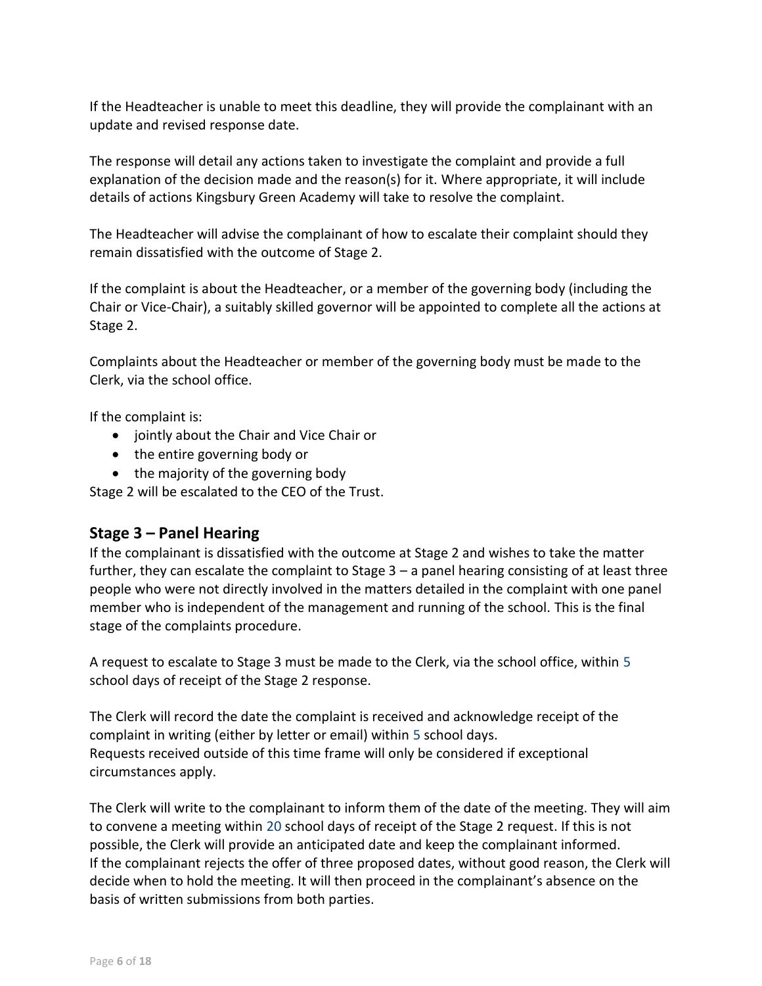If the Headteacher is unable to meet this deadline, they will provide the complainant with an update and revised response date.

The response will detail any actions taken to investigate the complaint and provide a full explanation of the decision made and the reason(s) for it. Where appropriate, it will include details of actions Kingsbury Green Academy will take to resolve the complaint.

The Headteacher will advise the complainant of how to escalate their complaint should they remain dissatisfied with the outcome of Stage 2.

If the complaint is about the Headteacher, or a member of the governing body (including the Chair or Vice-Chair), a suitably skilled governor will be appointed to complete all the actions at Stage 2.

Complaints about the Headteacher or member of the governing body must be made to the Clerk, via the school office.

If the complaint is:

- jointly about the Chair and Vice Chair or
- the entire governing body or
- the majority of the governing body

Stage 2 will be escalated to the CEO of the Trust.

## <span id="page-5-0"></span>**Stage 3 – Panel Hearing**

If the complainant is dissatisfied with the outcome at Stage 2 and wishes to take the matter further, they can escalate the complaint to Stage  $3 - a$  panel hearing consisting of at least three people who were not directly involved in the matters detailed in the complaint with one panel member who is independent of the management and running of the school. This is the final stage of the complaints procedure.

A request to escalate to Stage 3 must be made to the Clerk, via the school office, within 5 school days of receipt of the Stage 2 response.

The Clerk will record the date the complaint is received and acknowledge receipt of the complaint in writing (either by letter or email) within 5 school days. Requests received outside of this time frame will only be considered if exceptional circumstances apply.

The Clerk will write to the complainant to inform them of the date of the meeting. They will aim to convene a meeting within 20 school days of receipt of the Stage 2 request. If this is not possible, the Clerk will provide an anticipated date and keep the complainant informed. If the complainant rejects the offer of three proposed dates, without good reason, the Clerk will decide when to hold the meeting. It will then proceed in the complainant's absence on the basis of written submissions from both parties.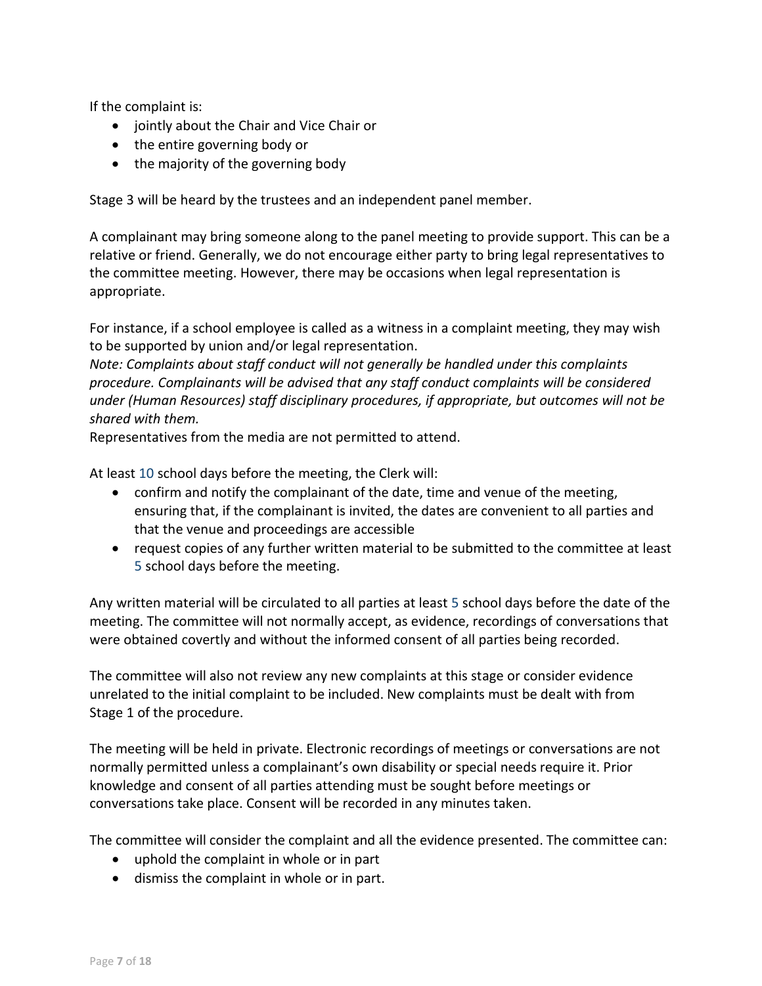If the complaint is:

- jointly about the Chair and Vice Chair or
- the entire governing body or
- the majority of the governing body

Stage 3 will be heard by the trustees and an independent panel member.

A complainant may bring someone along to the panel meeting to provide support. This can be a relative or friend. Generally, we do not encourage either party to bring legal representatives to the committee meeting. However, there may be occasions when legal representation is appropriate.

For instance, if a school employee is called as a witness in a complaint meeting, they may wish to be supported by union and/or legal representation.

*Note: Complaints about staff conduct will not generally be handled under this complaints procedure. Complainants will be advised that any staff conduct complaints will be considered under (Human Resources) staff disciplinary procedures, if appropriate, but outcomes will not be shared with them.* 

Representatives from the media are not permitted to attend.

At least 10 school days before the meeting, the Clerk will:

- confirm and notify the complainant of the date, time and venue of the meeting, ensuring that, if the complainant is invited, the dates are convenient to all parties and that the venue and proceedings are accessible
- request copies of any further written material to be submitted to the committee at least 5 school days before the meeting.

Any written material will be circulated to all parties at least 5 school days before the date of the meeting. The committee will not normally accept, as evidence, recordings of conversations that were obtained covertly and without the informed consent of all parties being recorded.

The committee will also not review any new complaints at this stage or consider evidence unrelated to the initial complaint to be included. New complaints must be dealt with from Stage 1 of the procedure.

The meeting will be held in private. Electronic recordings of meetings or conversations are not normally permitted unless a complainant's own disability or special needs require it. Prior knowledge and consent of all parties attending must be sought before meetings or conversations take place. Consent will be recorded in any minutes taken.

The committee will consider the complaint and all the evidence presented. The committee can:

- uphold the complaint in whole or in part
- dismiss the complaint in whole or in part.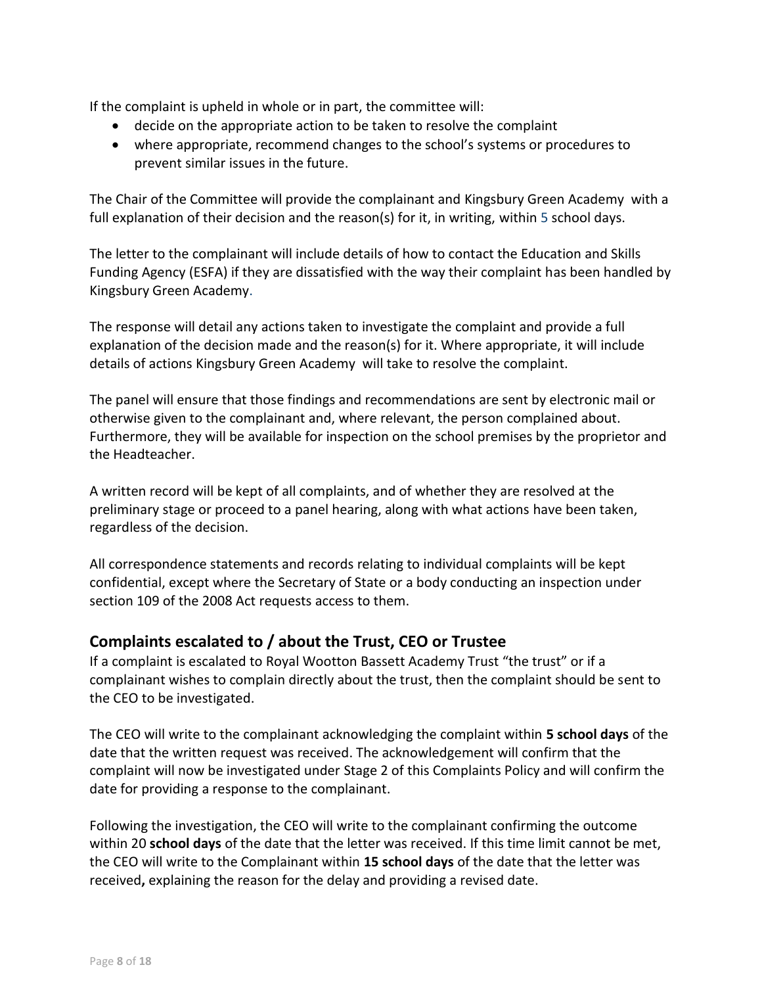If the complaint is upheld in whole or in part, the committee will:

- decide on the appropriate action to be taken to resolve the complaint
- where appropriate, recommend changes to the school's systems or procedures to prevent similar issues in the future.

The Chair of the Committee will provide the complainant and Kingsbury Green Academy with a full explanation of their decision and the reason(s) for it, in writing, within 5 school days.

The letter to the complainant will include details of how to contact the Education and Skills Funding Agency (ESFA) if they are dissatisfied with the way their complaint has been handled by Kingsbury Green Academy.

The response will detail any actions taken to investigate the complaint and provide a full explanation of the decision made and the reason(s) for it. Where appropriate, it will include details of actions Kingsbury Green Academy will take to resolve the complaint.

The panel will ensure that those findings and recommendations are sent by electronic mail or otherwise given to the complainant and, where relevant, the person complained about. Furthermore, they will be available for inspection on the school premises by the proprietor and the Headteacher.

A written record will be kept of all complaints, and of whether they are resolved at the preliminary stage or proceed to a panel hearing, along with what actions have been taken, regardless of the decision.

All correspondence statements and records relating to individual complaints will be kept confidential, except where the Secretary of State or a body conducting an inspection under section 109 of the 2008 Act requests access to them.

## <span id="page-7-0"></span>**Complaints escalated to / about the Trust, CEO or Trustee**

If a complaint is escalated to Royal Wootton Bassett Academy Trust "the trust" or if a complainant wishes to complain directly about the trust, then the complaint should be sent to the CEO to be investigated.

The CEO will write to the complainant acknowledging the complaint within **5 school days** of the date that the written request was received. The acknowledgement will confirm that the complaint will now be investigated under Stage 2 of this Complaints Policy and will confirm the date for providing a response to the complainant.

Following the investigation, the CEO will write to the complainant confirming the outcome within 20 **school days** of the date that the letter was received. If this time limit cannot be met, the CEO will write to the Complainant within **15 school days** of the date that the letter was received**,** explaining the reason for the delay and providing a revised date.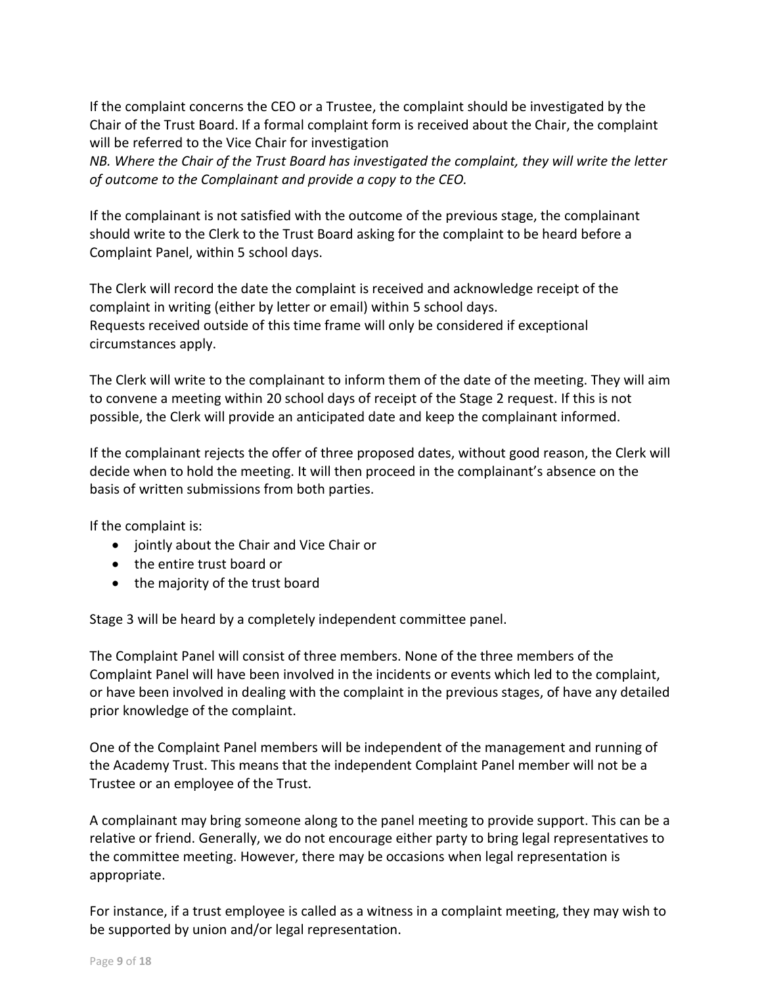If the complaint concerns the CEO or a Trustee, the complaint should be investigated by the Chair of the Trust Board. If a formal complaint form is received about the Chair, the complaint will be referred to the Vice Chair for investigation

*NB. Where the Chair of the Trust Board has investigated the complaint, they will write the letter of outcome to the Complainant and provide a copy to the CEO.* 

If the complainant is not satisfied with the outcome of the previous stage, the complainant should write to the Clerk to the Trust Board asking for the complaint to be heard before a Complaint Panel, within 5 school days.

The Clerk will record the date the complaint is received and acknowledge receipt of the complaint in writing (either by letter or email) within 5 school days. Requests received outside of this time frame will only be considered if exceptional circumstances apply.

The Clerk will write to the complainant to inform them of the date of the meeting. They will aim to convene a meeting within 20 school days of receipt of the Stage 2 request. If this is not possible, the Clerk will provide an anticipated date and keep the complainant informed.

If the complainant rejects the offer of three proposed dates, without good reason, the Clerk will decide when to hold the meeting. It will then proceed in the complainant's absence on the basis of written submissions from both parties.

If the complaint is:

- jointly about the Chair and Vice Chair or
- the entire trust board or
- the majority of the trust board

Stage 3 will be heard by a completely independent committee panel.

The Complaint Panel will consist of three members. None of the three members of the Complaint Panel will have been involved in the incidents or events which led to the complaint, or have been involved in dealing with the complaint in the previous stages, of have any detailed prior knowledge of the complaint.

One of the Complaint Panel members will be independent of the management and running of the Academy Trust. This means that the independent Complaint Panel member will not be a Trustee or an employee of the Trust.

A complainant may bring someone along to the panel meeting to provide support. This can be a relative or friend. Generally, we do not encourage either party to bring legal representatives to the committee meeting. However, there may be occasions when legal representation is appropriate.

For instance, if a trust employee is called as a witness in a complaint meeting, they may wish to be supported by union and/or legal representation.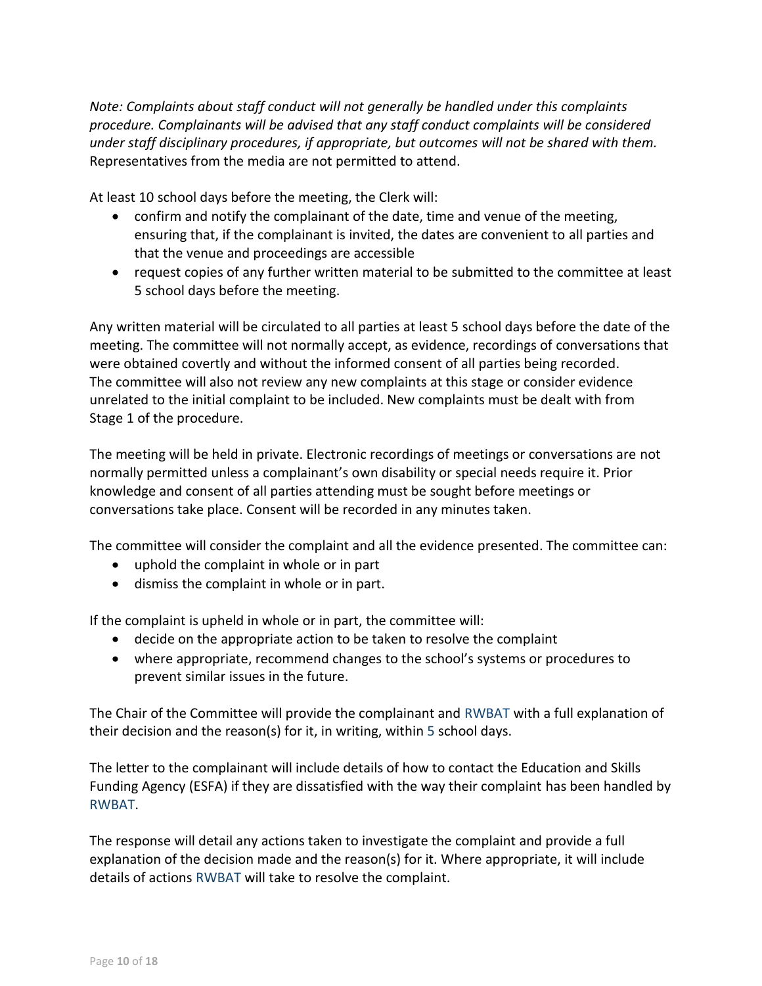*Note: Complaints about staff conduct will not generally be handled under this complaints procedure. Complainants will be advised that any staff conduct complaints will be considered under staff disciplinary procedures, if appropriate, but outcomes will not be shared with them.*  Representatives from the media are not permitted to attend.

At least 10 school days before the meeting, the Clerk will:

- confirm and notify the complainant of the date, time and venue of the meeting, ensuring that, if the complainant is invited, the dates are convenient to all parties and that the venue and proceedings are accessible
- request copies of any further written material to be submitted to the committee at least 5 school days before the meeting.

Any written material will be circulated to all parties at least 5 school days before the date of the meeting. The committee will not normally accept, as evidence, recordings of conversations that were obtained covertly and without the informed consent of all parties being recorded. The committee will also not review any new complaints at this stage or consider evidence unrelated to the initial complaint to be included. New complaints must be dealt with from Stage 1 of the procedure.

The meeting will be held in private. Electronic recordings of meetings or conversations are not normally permitted unless a complainant's own disability or special needs require it. Prior knowledge and consent of all parties attending must be sought before meetings or conversations take place. Consent will be recorded in any minutes taken.

The committee will consider the complaint and all the evidence presented. The committee can:

- uphold the complaint in whole or in part
- dismiss the complaint in whole or in part.

If the complaint is upheld in whole or in part, the committee will:

- decide on the appropriate action to be taken to resolve the complaint
- where appropriate, recommend changes to the school's systems or procedures to prevent similar issues in the future.

The Chair of the Committee will provide the complainant and RWBAT with a full explanation of their decision and the reason(s) for it, in writing, within 5 school days.

The letter to the complainant will include details of how to contact the Education and Skills Funding Agency (ESFA) if they are dissatisfied with the way their complaint has been handled by RWBAT.

The response will detail any actions taken to investigate the complaint and provide a full explanation of the decision made and the reason(s) for it. Where appropriate, it will include details of actions RWBAT will take to resolve the complaint.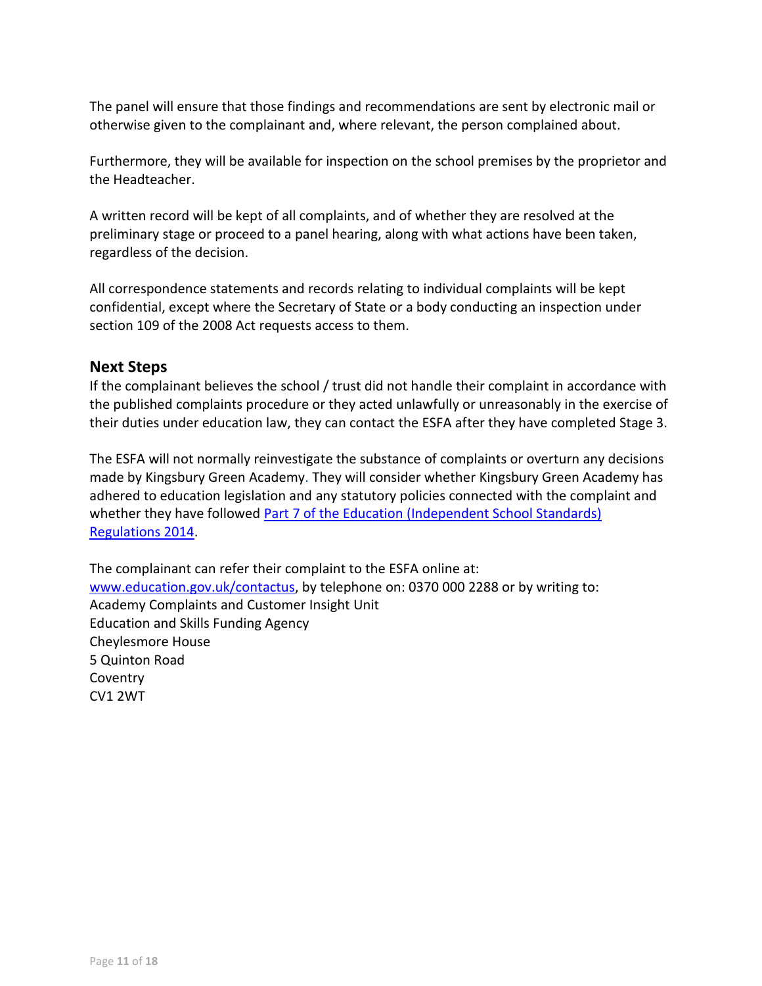The panel will ensure that those findings and recommendations are sent by electronic mail or otherwise given to the complainant and, where relevant, the person complained about.

Furthermore, they will be available for inspection on the school premises by the proprietor and the Headteacher.

A written record will be kept of all complaints, and of whether they are resolved at the preliminary stage or proceed to a panel hearing, along with what actions have been taken, regardless of the decision.

All correspondence statements and records relating to individual complaints will be kept confidential, except where the Secretary of State or a body conducting an inspection under section 109 of the 2008 Act requests access to them.

#### <span id="page-10-0"></span>**Next Steps**

If the complainant believes the school / trust did not handle their complaint in accordance with the published complaints procedure or they acted unlawfully or unreasonably in the exercise of their duties under education law, they can contact the ESFA after they have completed Stage 3.

The ESFA will not normally reinvestigate the substance of complaints or overturn any decisions made by Kingsbury Green Academy. They will consider whether Kingsbury Green Academy has adhered to education legislation and any statutory policies connected with the complaint and whether they have followed Part 7 of the Education (Independent School Standards) [Regulations 2014.](http://www.legislation.gov.uk/uksi/2010/1997/schedule/1/made)

The complainant can refer their complaint to the ESFA online at: [www.education.gov.uk/contactus,](http://www.education.gov.uk/contactus) by telephone on: 0370 000 2288 or by writing to: Academy Complaints and Customer Insight Unit Education and Skills Funding Agency Cheylesmore House 5 Quinton Road **Coventry** CV1 2WT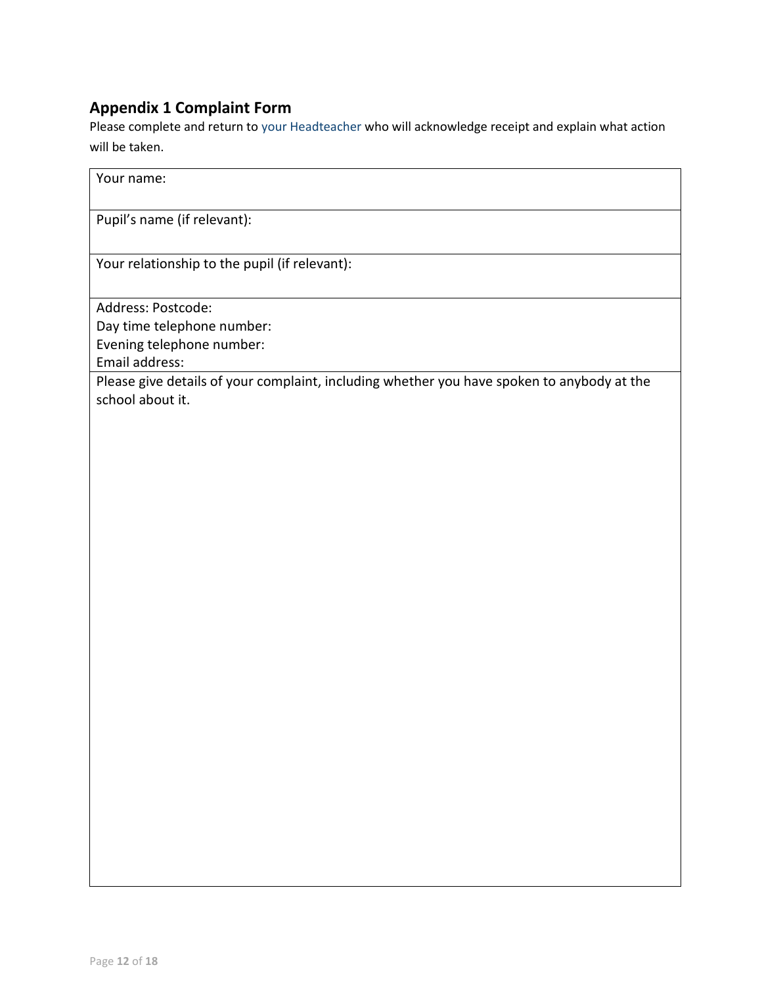## <span id="page-11-0"></span>**Appendix 1 Complaint Form**

Please complete and return to your Headteacher who will acknowledge receipt and explain what action will be taken.

| Your name:                                                                                                     |
|----------------------------------------------------------------------------------------------------------------|
| Pupil's name (if relevant):                                                                                    |
| Your relationship to the pupil (if relevant):                                                                  |
| Address: Postcode:<br>Day time telephone number:<br>Evening telephone number:<br>Email address:                |
| Please give details of your complaint, including whether you have spoken to anybody at the<br>school about it. |
|                                                                                                                |
|                                                                                                                |
|                                                                                                                |
|                                                                                                                |
|                                                                                                                |
|                                                                                                                |
|                                                                                                                |
|                                                                                                                |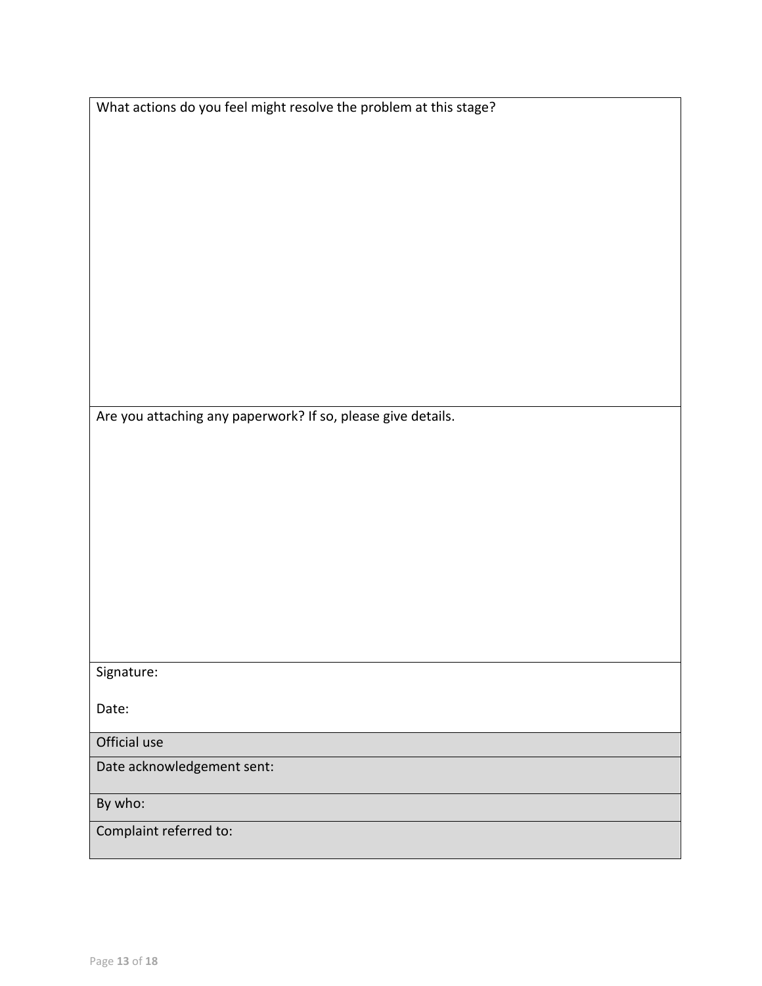|              | What actions do you feel might resolve the problem at this stage? |  |
|--------------|-------------------------------------------------------------------|--|
|              |                                                                   |  |
|              |                                                                   |  |
|              |                                                                   |  |
|              |                                                                   |  |
|              |                                                                   |  |
|              |                                                                   |  |
|              |                                                                   |  |
|              |                                                                   |  |
|              |                                                                   |  |
|              |                                                                   |  |
|              | Are you attaching any paperwork? If so, please give details.      |  |
|              |                                                                   |  |
|              |                                                                   |  |
|              |                                                                   |  |
|              |                                                                   |  |
|              |                                                                   |  |
|              |                                                                   |  |
|              |                                                                   |  |
|              |                                                                   |  |
|              |                                                                   |  |
|              |                                                                   |  |
|              |                                                                   |  |
| Signature:   |                                                                   |  |
| Date:        |                                                                   |  |
|              |                                                                   |  |
| Official use |                                                                   |  |
|              |                                                                   |  |
|              | Date acknowledgement sent:                                        |  |
| By who:      |                                                                   |  |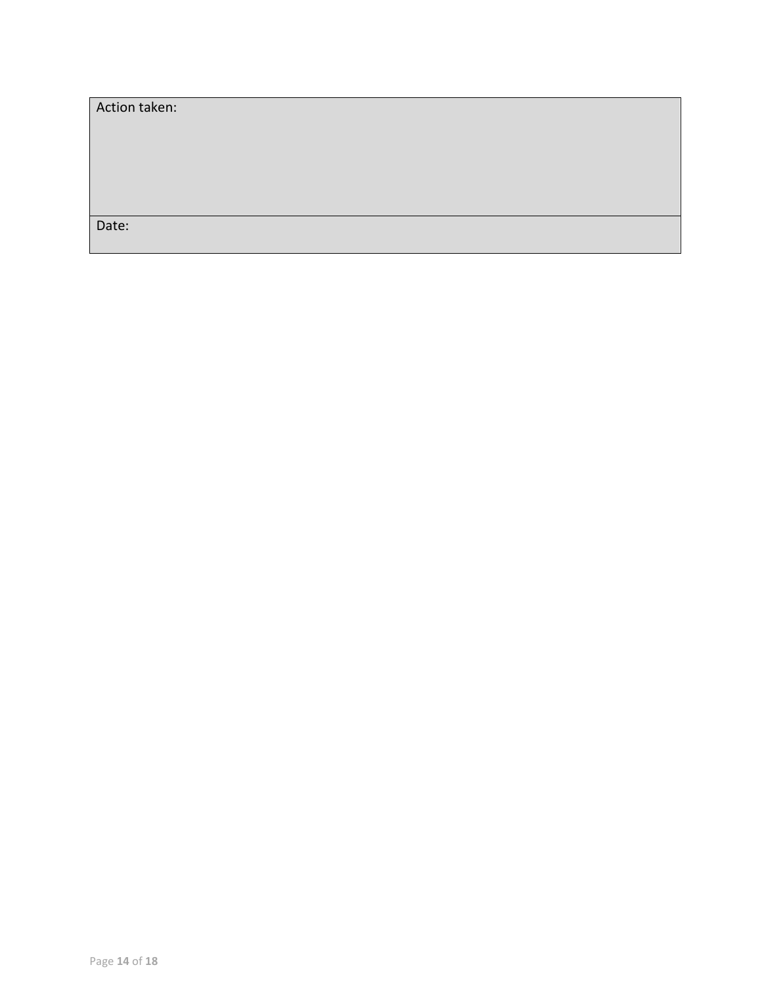| Action taken: |  |
|---------------|--|
|               |  |
|               |  |
|               |  |
|               |  |
| Date:         |  |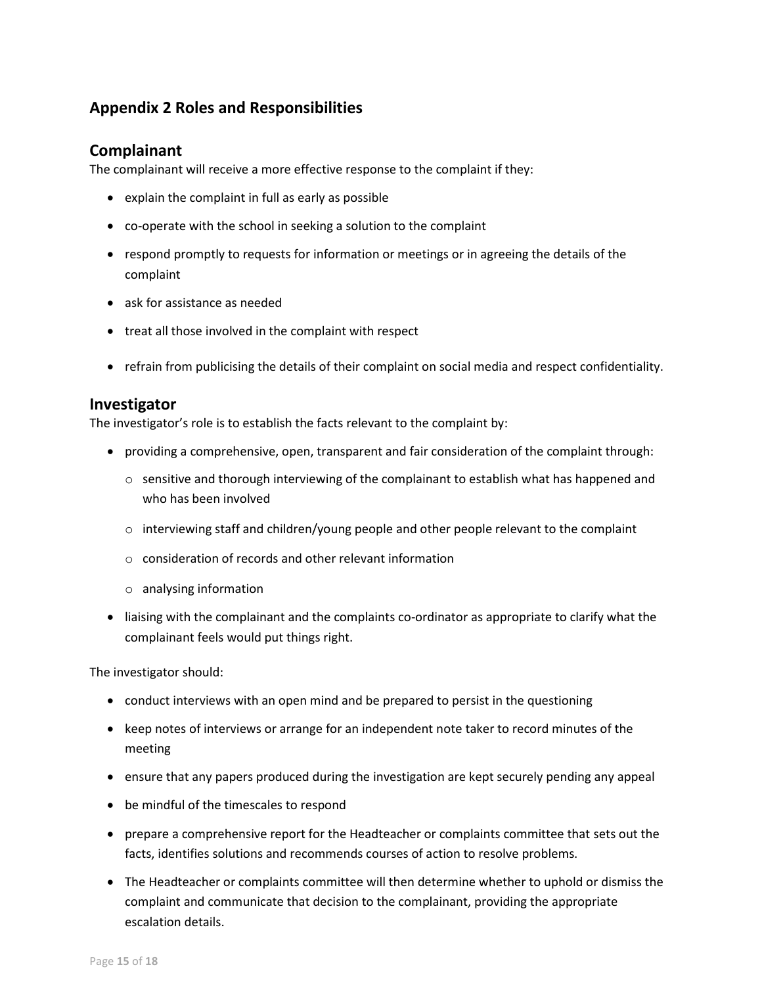## <span id="page-14-0"></span>**Appendix 2 Roles and Responsibilities**

#### <span id="page-14-1"></span>**Complainant**

The complainant will receive a more effective response to the complaint if they:

- explain the complaint in full as early as possible
- co-operate with the school in seeking a solution to the complaint
- respond promptly to requests for information or meetings or in agreeing the details of the complaint
- ask for assistance as needed
- treat all those involved in the complaint with respect
- refrain from publicising the details of their complaint on social media and respect confidentiality.

#### <span id="page-14-2"></span>**Investigator**

The investigator's role is to establish the facts relevant to the complaint by:

- providing a comprehensive, open, transparent and fair consideration of the complaint through:
	- $\circ$  sensitive and thorough interviewing of the complainant to establish what has happened and who has been involved
	- $\circ$  interviewing staff and children/young people and other people relevant to the complaint
	- $\circ$  consideration of records and other relevant information
	- o analysing information
- liaising with the complainant and the complaints co-ordinator as appropriate to clarify what the complainant feels would put things right.

The investigator should:

- conduct interviews with an open mind and be prepared to persist in the questioning
- keep notes of interviews or arrange for an independent note taker to record minutes of the meeting
- ensure that any papers produced during the investigation are kept securely pending any appeal
- be mindful of the timescales to respond
- prepare a comprehensive report for the Headteacher or complaints committee that sets out the facts, identifies solutions and recommends courses of action to resolve problems.
- The Headteacher or complaints committee will then determine whether to uphold or dismiss the complaint and communicate that decision to the complainant, providing the appropriate escalation details.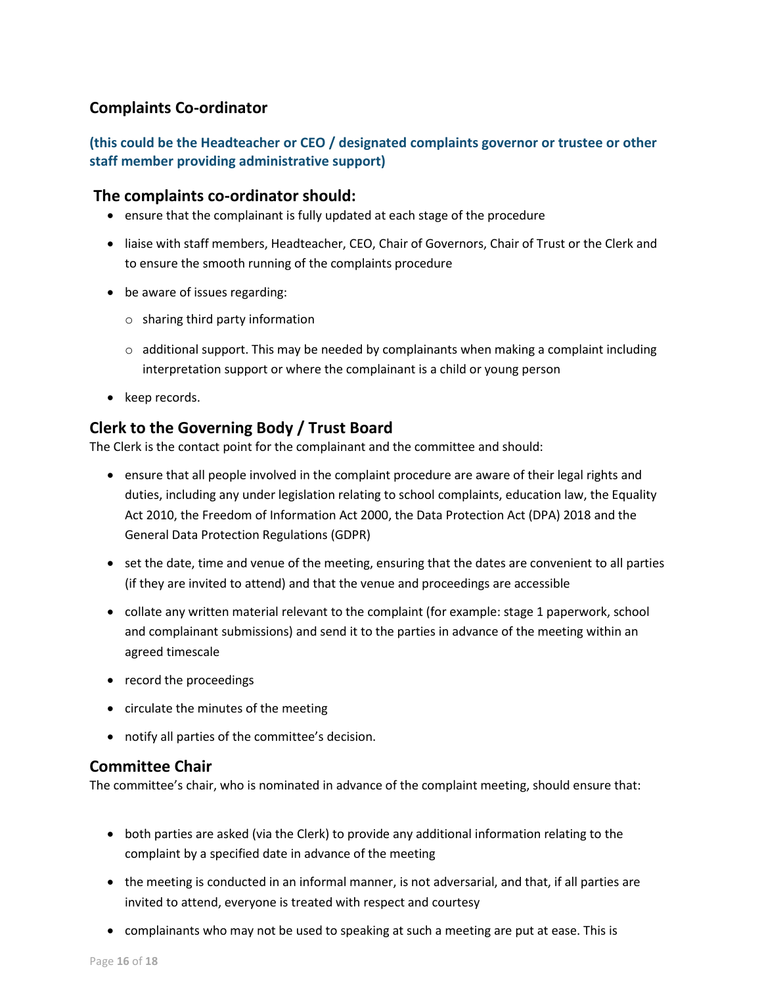## <span id="page-15-0"></span>**Complaints Co-ordinator**

#### **(this could be the Headteacher or CEO / designated complaints governor or trustee or other staff member providing administrative support)**

#### **The complaints co-ordinator should:**

- ensure that the complainant is fully updated at each stage of the procedure
- liaise with staff members, Headteacher, CEO, Chair of Governors, Chair of Trust or the Clerk and to ensure the smooth running of the complaints procedure
- be aware of issues regarding:
	- $\circ$  sharing third party information
	- $\circ$  additional support. This may be needed by complainants when making a complaint including interpretation support or where the complainant is a child or young person
- keep records.

#### **Clerk to the Governing Body / Trust Board**

The Clerk is the contact point for the complainant and the committee and should:

- ensure that all people involved in the complaint procedure are aware of their legal rights and duties, including any under legislation relating to school complaints, education law, the Equality Act 2010, the Freedom of Information Act 2000, the Data Protection Act (DPA) 2018 and the General Data Protection Regulations (GDPR)
- set the date, time and venue of the meeting, ensuring that the dates are convenient to all parties (if they are invited to attend) and that the venue and proceedings are accessible
- collate any written material relevant to the complaint (for example: stage 1 paperwork, school and complainant submissions) and send it to the parties in advance of the meeting within an agreed timescale
- record the proceedings
- circulate the minutes of the meeting
- notify all parties of the committee's decision.

#### **Committee Chair**

The committee's chair, who is nominated in advance of the complaint meeting, should ensure that:

- both parties are asked (via the Clerk) to provide any additional information relating to the complaint by a specified date in advance of the meeting
- the meeting is conducted in an informal manner, is not adversarial, and that, if all parties are invited to attend, everyone is treated with respect and courtesy
- complainants who may not be used to speaking at such a meeting are put at ease. This is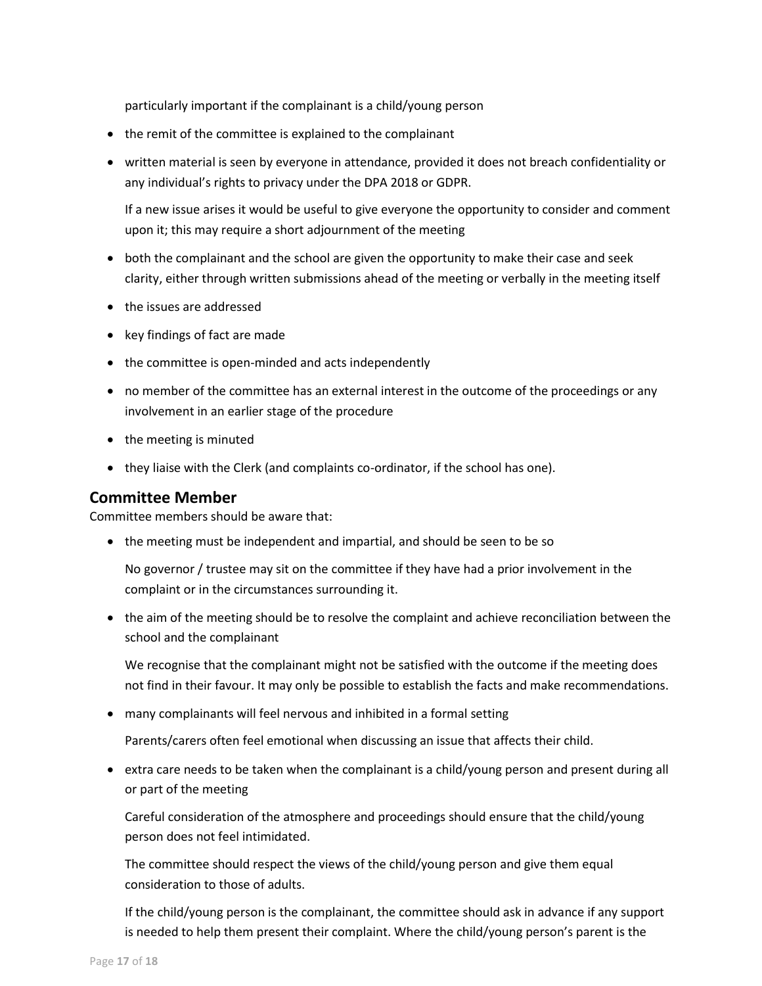particularly important if the complainant is a child/young person

- the remit of the committee is explained to the complainant
- written material is seen by everyone in attendance, provided it does not breach confidentiality or any individual's rights to privacy under the DPA 2018 or GDPR.

If a new issue arises it would be useful to give everyone the opportunity to consider and comment upon it; this may require a short adjournment of the meeting

- both the complainant and the school are given the opportunity to make their case and seek clarity, either through written submissions ahead of the meeting or verbally in the meeting itself
- the issues are addressed
- key findings of fact are made
- the committee is open-minded and acts independently
- no member of the committee has an external interest in the outcome of the proceedings or any involvement in an earlier stage of the procedure
- the meeting is minuted
- they liaise with the Clerk (and complaints co-ordinator, if the school has one).

#### **Committee Member**

Committee members should be aware that:

• the meeting must be independent and impartial, and should be seen to be so

No governor / trustee may sit on the committee if they have had a prior involvement in the complaint or in the circumstances surrounding it.

• the aim of the meeting should be to resolve the complaint and achieve reconciliation between the school and the complainant

We recognise that the complainant might not be satisfied with the outcome if the meeting does not find in their favour. It may only be possible to establish the facts and make recommendations.

• many complainants will feel nervous and inhibited in a formal setting

Parents/carers often feel emotional when discussing an issue that affects their child.

• extra care needs to be taken when the complainant is a child/young person and present during all or part of the meeting

Careful consideration of the atmosphere and proceedings should ensure that the child/young person does not feel intimidated.

The committee should respect the views of the child/young person and give them equal consideration to those of adults.

If the child/young person is the complainant, the committee should ask in advance if any support is needed to help them present their complaint. Where the child/young person's parent is the